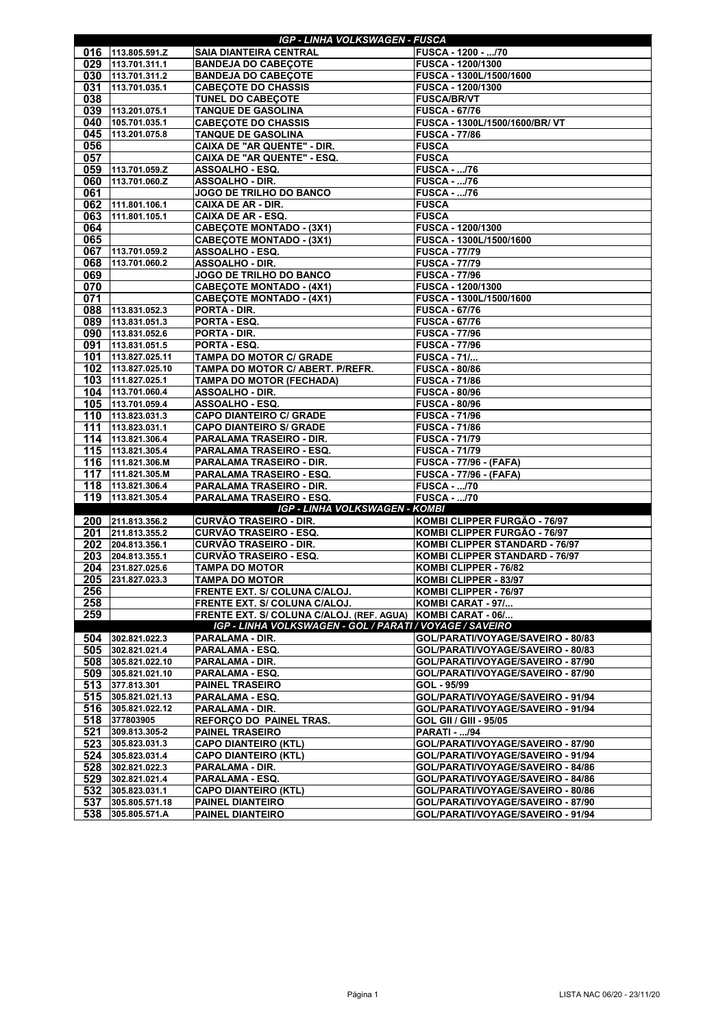| <b>IGP - LINHA VOLKSWAGEN - FUSCA</b> |                                     |                                                                          |                                                                        |  |
|---------------------------------------|-------------------------------------|--------------------------------------------------------------------------|------------------------------------------------------------------------|--|
| 016                                   | 113.805.591.Z                       | <b>SAIA DIANTEIRA CENTRAL</b>                                            | FUSCA - 1200 - /70                                                     |  |
| 029                                   | 113.701.311.1                       | <b>BANDEJA DO CABEÇOTE</b>                                               | <b>FUSCA - 1200/1300</b>                                               |  |
| 030                                   | 113.701.311.2                       | <b>BANDEJA DO CABEÇOTE</b>                                               | FUSCA - 1300L/1500/1600                                                |  |
| 031                                   | 113.701.035.1                       | <b>CABECOTE DO CHASSIS</b>                                               | <b>FUSCA - 1200/1300</b>                                               |  |
| 038                                   |                                     | <b>TUNEL DO CABEÇOTE</b>                                                 | <b>FUSCA/BR/VT</b>                                                     |  |
| 039                                   | 113.201.075.1                       | <b>TANQUE DE GASOLINA</b>                                                | <b>FUSCA - 67/76</b>                                                   |  |
| 040                                   | 105.701.035.1                       | <b>CABEÇOTE DO CHASSIS</b>                                               | FUSCA - 1300L/1500/1600/BR/VT                                          |  |
| 045                                   | 113.201.075.8                       | <b>TANQUE DE GASOLINA</b>                                                | <b>FUSCA - 77/86</b>                                                   |  |
| 056<br>057                            |                                     | <b>CAIXA DE "AR QUENTE" - DIR.</b><br><b>CAIXA DE "AR QUENTE" - ESQ.</b> | <b>FUSCA</b><br><b>FUSCA</b>                                           |  |
| 059                                   | 113.701.059.Z                       | <b>ASSOALHO - ESQ.</b>                                                   | <b>FUSCA - /76</b>                                                     |  |
| 060                                   | 113.701.060.Z                       | <b>ASSOALHO - DIR.</b>                                                   | <b>FUSCA - /76</b>                                                     |  |
| 061                                   |                                     | JOGO DE TRILHO DO BANCO                                                  | <b>FUSCA - /76</b>                                                     |  |
| 062                                   | 111.801.106.1                       | <b>CAIXA DE AR - DIR.</b>                                                | <b>FUSCA</b>                                                           |  |
| 063                                   | 111.801.105.1                       | <b>CAIXA DE AR - ESQ.</b>                                                | <b>FUSCA</b>                                                           |  |
| 064                                   |                                     | <b>CABEÇOTE MONTADO - (3X1)</b>                                          | <b>FUSCA - 1200/1300</b>                                               |  |
| 065                                   |                                     | <b>CABEÇOTE MONTADO - (3X1)</b>                                          | FUSCA - 1300L/1500/1600                                                |  |
| 067                                   | 113.701.059.2                       | <b>ASSOALHO - ESQ.</b>                                                   | <b>FUSCA - 77/79</b>                                                   |  |
| 068                                   | 113.701.060.2                       | <b>ASSOALHO - DIR.</b>                                                   | <b>FUSCA - 77/79</b>                                                   |  |
| 069                                   |                                     | JOGO DE TRILHO DO BANCO                                                  | <b>FUSCA - 77/96</b>                                                   |  |
| 070                                   |                                     | <b>CABEÇOTE MONTADO - (4X1)</b>                                          | <b>FUSCA - 1200/1300</b>                                               |  |
| 071<br>088                            | 113.831.052.3                       | <b>CABEÇOTE MONTADO - (4X1)</b><br><b>PORTA - DIR.</b>                   | FUSCA - 1300L/1500/1600<br><b>FUSCA - 67/76</b>                        |  |
| 089                                   | 113.831.051.3                       | <b>PORTA - ESQ.</b>                                                      | <b>FUSCA - 67/76</b>                                                   |  |
| 090                                   | 113.831.052.6                       | <b>PORTA - DIR.</b>                                                      | <b>FUSCA - 77/96</b>                                                   |  |
| 091                                   | 113.831.051.5                       | PORTA - ESQ.                                                             | <b>FUSCA - 77/96</b>                                                   |  |
| 101                                   | 113.827.025.11                      | <b>TAMPA DO MOTOR C/ GRADE</b>                                           | <b>FUSCA - 71/</b>                                                     |  |
| 102                                   | 113.827.025.10                      | TAMPA DO MOTOR C/ ABERT. P/REFR.                                         | <b>FUSCA - 80/86</b>                                                   |  |
| 103                                   | 111.827.025.1                       | <b>TAMPA DO MOTOR (FECHADA)</b>                                          | <b>FUSCA - 71/86</b>                                                   |  |
|                                       | 104 113.701.060.4                   | <b>ASSOALHO - DIR.</b>                                                   | <b>FUSCA - 80/96</b>                                                   |  |
| 105                                   | 113.701.059.4                       | <b>ASSOALHO - ESQ.</b>                                                   | <b>FUSCA - 80/96</b>                                                   |  |
| 110                                   | 113.823.031.3                       | <b>CAPO DIANTEIRO C/ GRADE</b>                                           | <b>FUSCA - 71/96</b>                                                   |  |
| 111                                   | 113.823.031.1                       | <b>CAPO DIANTEIRO S/ GRADE</b>                                           | <b>FUSCA - 71/86</b>                                                   |  |
| 114                                   | 113.821.306.4                       | PARALAMA TRASEIRO - DIR.                                                 | <b>FUSCA - 71/79</b>                                                   |  |
| 115<br>116                            | 113.821.305.4<br>111.821.306.M      | PARALAMA TRASEIRO - ESQ.<br>PARALAMA TRASEIRO - DIR.                     | <b>FUSCA - 71/79</b><br><b>FUSCA - 77/96 - (FAFA)</b>                  |  |
| 117                                   | 111.821.305.M                       | PARALAMA TRASEIRO - ESQ.                                                 | <b>FUSCA - 77/96 - (FAFA)</b>                                          |  |
| 118                                   | 113.821.306.4                       | PARALAMA TRASEIRO - DIR.                                                 | <b>FUSCA - /70</b>                                                     |  |
| 119                                   | 113.821.305.4                       | PARALAMA TRASEIRO - ESQ.                                                 | <b>FUSCA - /70</b>                                                     |  |
|                                       |                                     | <b>IGP - LINHA VOLKSWAGEN - KOMBI</b>                                    |                                                                        |  |
| <b>200</b>                            | 211.813.356.2                       | <b>CURVÃO TRASEIRO - DIR.</b>                                            | KOMBI CLIPPER FURGÃO - 76/97                                           |  |
| 201                                   | 211.813.355.2                       | <b>CURVÃO TRASEIRO - ESQ.</b>                                            | KOMBI CLIPPER FURGÃO - 76/97                                           |  |
| 202                                   | 204.813.356.1                       | <b>CURVÃO TRASEIRO - DIR.</b>                                            | KOMBI CLIPPER STANDARD - 76/97                                         |  |
| 203                                   | 204.813.355.1                       | <b>CURVÃO TRASEIRO - ESQ.</b>                                            | KOMBI CLIPPER STANDARD - 76/97                                         |  |
| 204                                   | 231.827.025.6                       | <b>TAMPA DO MOTOR</b>                                                    | KOMBI CLIPPER - 76/82                                                  |  |
| 205                                   | 231.827.023.3                       | <b>TAMPA DO MOTOR</b>                                                    | KOMBI CLIPPER - 83/97                                                  |  |
| 256<br>258                            |                                     | FRENTE EXT. S/ COLUNA C/ALOJ.<br><b>FRENTE EXT. S/ COLUNA C/ALOJ.</b>    | KOMBI CLIPPER - 76/97<br>KOMBI CARAT - 97/                             |  |
| 259                                   |                                     | FRENTE EXT. S/ COLUNA C/ALOJ. (REF. AGUA) KOMBI CARAT - 06/              |                                                                        |  |
|                                       |                                     | IGP - LINHA VOLKSWAGEN - GOL / PARATI / VOYAGE / SAVEIRO                 |                                                                        |  |
| 504                                   | 302.821.022.3                       | <b>PARALAMA - DIR.</b>                                                   | GOL/PARATI/VOYAGE/SAVEIRO - 80/83                                      |  |
| 505                                   | 302.821.021.4                       | PARALAMA - ESQ.                                                          | GOL/PARATI/VOYAGE/SAVEIRO - 80/83                                      |  |
| 508                                   | 305.821.022.10                      | <b>PARALAMA - DIR.</b>                                                   | GOL/PARATI/VOYAGE/SAVEIRO - 87/90                                      |  |
| 509                                   | 305.821.021.10                      | <b>PARALAMA - ESQ.</b>                                                   | GOL/PARATI/VOYAGE/SAVEIRO - 87/90                                      |  |
| 513                                   | 377.813.301                         | <b>PAINEL TRASEIRO</b>                                                   | GOL - 95/99                                                            |  |
| 515                                   | 305.821.021.13                      | <b>PARALAMA - ESQ.</b>                                                   | GOL/PARATI/VOYAGE/SAVEIRO - 91/94                                      |  |
| 516                                   | 305.821.022.12                      | <b>PARALAMA - DIR.</b>                                                   | GOL/PARATI/VOYAGE/SAVEIRO - 91/94                                      |  |
| 518                                   | 377803905                           | REFORÇO DO PAINEL TRAS.                                                  | <b>GOL GII / GIII - 95/05</b>                                          |  |
| 521                                   | 309.813.305-2                       | <b>PAINEL TRASEIRO</b>                                                   | <b>PARATI - /94</b>                                                    |  |
| 524                                   | 523 305.823.031.3<br> 305.823.031.4 | <b>CAPO DIANTEIRO (KTL)</b>                                              | GOL/PARATI/VOYAGE/SAVEIRO - 87/90<br>GOL/PARATI/VOYAGE/SAVEIRO - 91/94 |  |
| 528                                   | 302.821.022.3                       | <b>CAPO DIANTEIRO (KTL)</b><br>PARALAMA - DIR.                           | GOL/PARATI/VOYAGE/SAVEIRO - 84/86                                      |  |
| 529                                   | 302.821.021.4                       | <b>PARALAMA - ESQ.</b>                                                   | GOL/PARATI/VOYAGE/SAVEIRO - 84/86                                      |  |
| 532                                   | 305.823.031.1                       | <b>CAPO DIANTEIRO (KTL)</b>                                              | GOL/PARATI/VOYAGE/SAVEIRO - 80/86                                      |  |
| 537                                   | 305.805.571.18                      | <b>PAINEL DIANTEIRO</b>                                                  | GOL/PARATI/VOYAGE/SAVEIRO - 87/90                                      |  |
| 538                                   | 305.805.571.A                       | <b>PAINEL DIANTEIRO</b>                                                  | GOL/PARATI/VOYAGE/SAVEIRO - 91/94                                      |  |